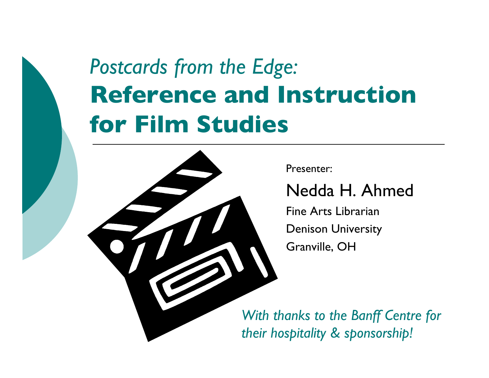# *Postcards from the Edge:* **Reference and Instruction for Film Studies**

Presenter:

Nedda H. Ahmed

Fine Arts Librarian Denison University Granville, OH

*With thanks to the Banff Centre for their hospitality & sponsorship!*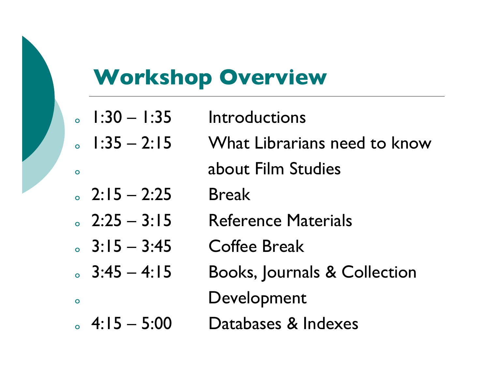## **Workshop Overview**

- $\cdot$  1:30 1:35 Introductions
- $1:35 2:15$  What Librarians need to know <sup>o</sup> about Film Studies
- $2:15 2:25$  Break
- $\alpha$  2:25 3:15 Reference Materials
- $\delta$  3:15 3:45 Coffee Break
- $\delta$  3:45 4:15 Books, Journals & Collection **o** Development
- $\alpha$  4:15 5:00 Databases & Indexes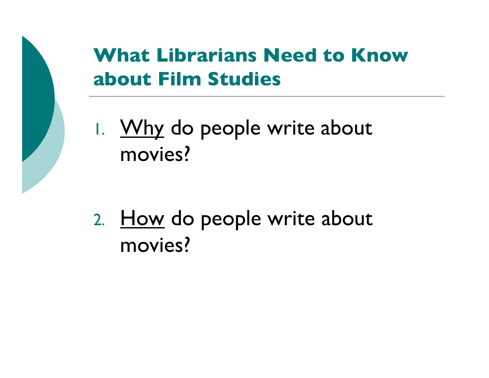## **What Librarians Need to Know about Film Studies**

1. Why do people write about movies?

2. How do people write about movies?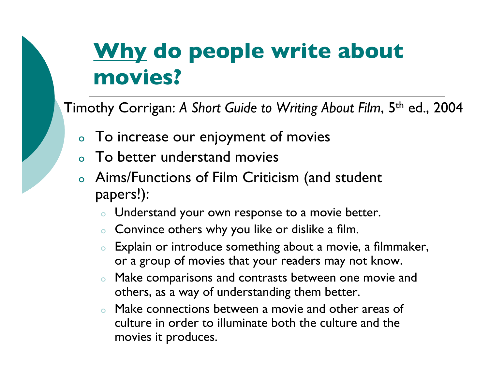## **Why do people write about movies?**

Timothy Corrigan: *A Short Guide to Writing About Film*, 5th ed., 2004

- o To increase our enjoyment of movies
- To better understand movies
- o Aims/Functions of Film Criticism (and student papers!):
	- o Understand your own response to a movie better.
	- o Convince others why you like or dislike a film.
	- o Explain or introduce something about a movie, a filmmaker, or a group of movies that your readers may not know.
	- o Make comparisons and contrasts between one movie and others, as a way of understanding them better.
	- o Make connections between a movie and other areas of culture in order to illuminate both the culture and the movies it produces.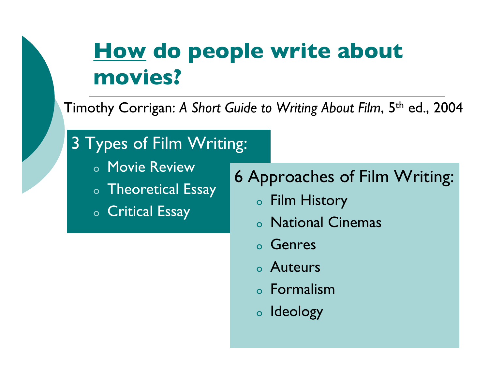## **How do people write about movies?**

Timothy Corrigan: *A Short Guide to Writing About Film*, 5th ed., 2004

#### 3 Types of Film Writing:

- o Movie Review
- o Theoretical Essay
- o Critical Essay

#### 6 Approaches of Film Writing:

- o Film History
- o National Cinemas
- o Genres
- o Auteurs
- o Formalism
- o Ideology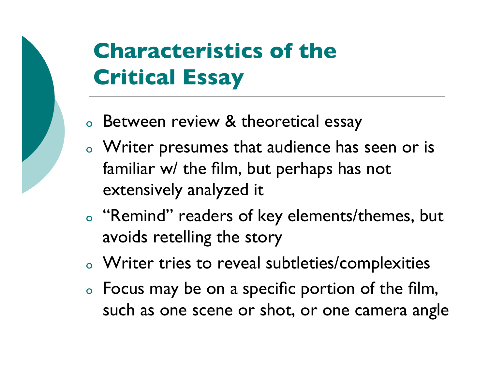

# **Characteristics of the Critical Essay**

- <sup>o</sup> Between review & theoretical essay
- <sup>o</sup> Writer presumes that audience has seen or is familiar w/ the film, but perhaps has not extensively analyzed it
- o "Remind" readers of key elements/themes, but avoids retelling the story
- <sup>o</sup> Writer tries to reveal subtleties/complexities
- <sup>o</sup> Focus may be on a specific portion of the film, such as one scene or shot, or one camera angle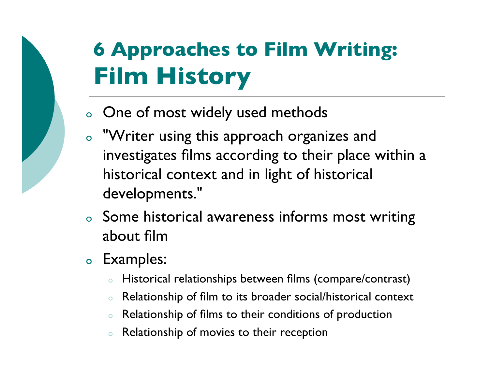# **6 Approaches to Film Writing: Film History**

- <sup>o</sup> One of most widely used methods
- o "Writer using this approach organizes and investigates films according to their place within a historical context and in light of historical developments."
- <sup>o</sup> Some historical awareness informs most writing about film
- <sup>o</sup> Examples:
	- Historical relationships between films (compare/contrast)
	- <sup>o</sup> Relationship of film to its broader social/historical context
	- Relationship of films to their conditions of production
	- o Relationship of movies to their reception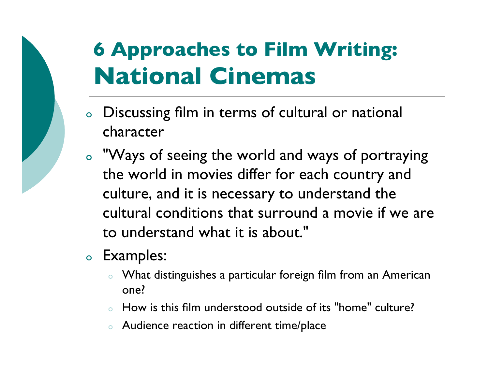# **6 Approaches to Film Writing: National Cinemas**

- <sup>o</sup> Discussing film in terms of cultural or national character
- o "Ways of seeing the world and ways of portraying the world in movies differ for each country and culture, and it is necessary to understand the cultural conditions that surround a movie if we are to understand what it is about."
- <sup>o</sup> Examples:
	- What distinguishes a particular foreign film from an American one?
	- o How is this film understood outside of its "home" culture?
	- <sup>o</sup> Audience reaction in different time/place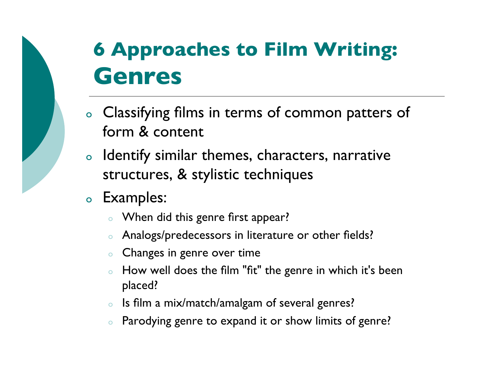# **6 Approaches to Film Writing: Genres**

- <sup>o</sup> Classifying films in terms of common patters of form & content
- <sup>o</sup> Identify similar themes, characters, narrative structures, & stylistic techniques
- <sup>o</sup> Examples:
	- When did this genre first appear?
	- Analogs/predecessors in literature or other fields?
	- Changes in genre over time
	- $\circ$  How well does the film "fit" the genre in which it's been placed?
	- Is film a mix/match/amalgam of several genres?
	- Parodying genre to expand it or show limits of genre?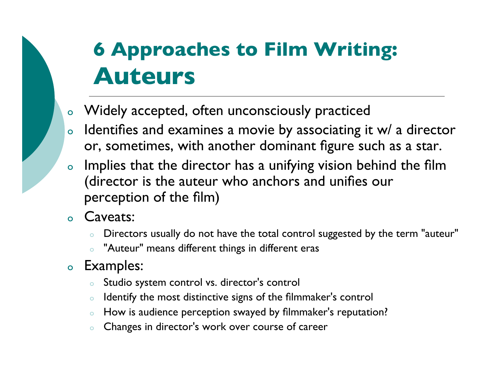# **6 Approaches to Film Writing: Auteurs**

- o Widely accepted, often unconsciously practiced
- o Identifies and examines a movie by associating it w/ a director or, sometimes, with another dominant figure such as a star.
- o Implies that the director has a unifying vision behind the film (director is the auteur who anchors and unifies our perception of the film)
- o Caveats:
	- Directors usually do not have the total control suggested by the term "auteur"
	- o "Auteur" means different things in different eras

#### o Examples:

- o Studio system control vs. director's control
- o Identify the most distinctive signs of the filmmaker's control
- o How is audience perception swayed by filmmaker's reputation?
- o Changes in director's work over course of career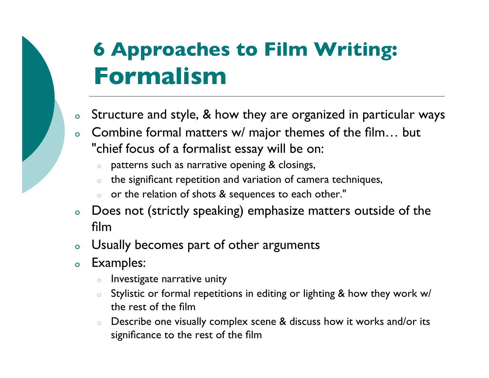# **6 Approaches to Film Writing: Formalism**

- <sup>o</sup> Structure and style, & how they are organized in particular ways
- <sup>o</sup> Combine formal matters w/ major themes of the film… but " chief focus of a formalist essay will be on:
	- patterns such as narrative opening  $&$  closings,
	- the significant repetition and variation of camera techniques,
	- or the relation of shots & sequences to each other."
- <sup>o</sup> Does not (strictly speaking) emphasize matters outside of the film
- <sup>o</sup> Usually becomes part of other arguments
- <sup>o</sup> Examples:
	- o Investigate narrative unity
	- Stylistic or formal repetitions in editing or lighting & how they work w/ the rest of the film
	- o Describe one visually complex scene & discuss how it works and/or its significance to the rest of the film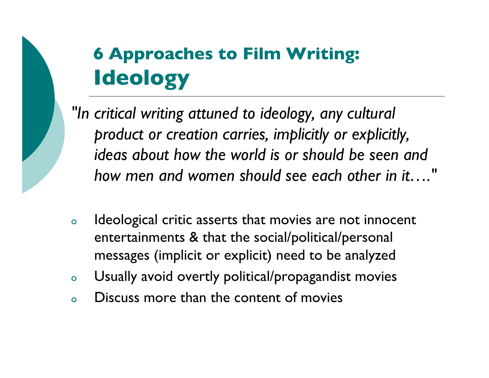## **6 Approaches to Film Writing: Ideology**

*"In critical writing attuned to ideology, any cultural product or creation carries, implicitly or explicitly, ideas about how the world is or should be seen and how men and women should see each other in it…."*

- o Ideological critic asserts that movies are not innocent entertainments & that the social/political/personal messages (implicit or explicit) need to be analyzed
- o Usually avoid overtly political/propagandist movies
- Discuss more than the content of movies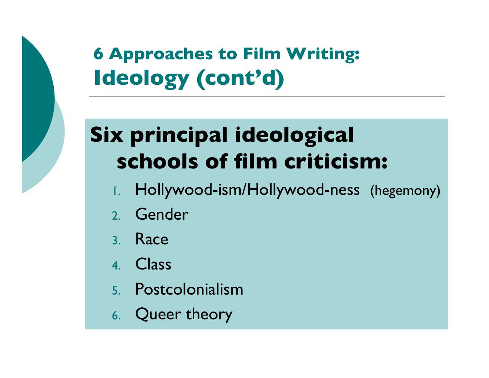

## **6 Approaches to Film Writing: Ideology (cont'd)**

# **Six principal ideological schools of film criticism:**

- 1. Hollywood-ism/Hollywood-ness (hegemony)
- 2. Gender
- 3. Race
- 4. Class
- 5. Postcolonialism
- 6. Queer theory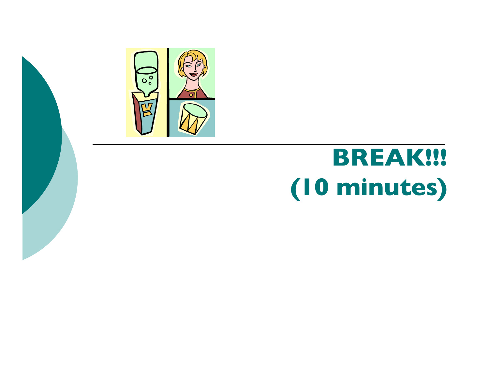

# **BREAK!!! (10 minutes)**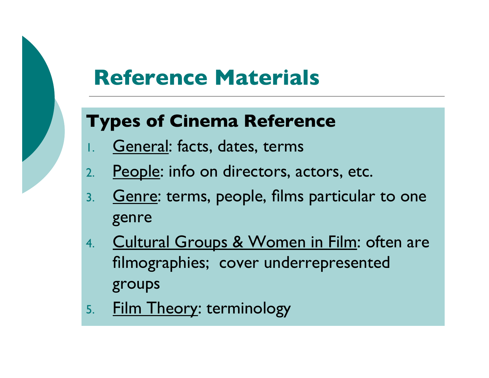

## **Reference Materials**

#### **Types of Cinema Reference**

- General: facts, dates, terms
- 2. People: info on directors, actors, etc.
- 3. Genre: terms, people, films particular to one genre
- 4. Cultural Groups & Women in Film: often are filmographies; cover underrepresented groups
- 5. Film Theory: terminology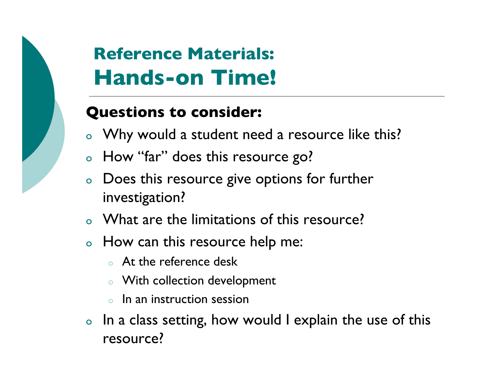

## **Reference Materials: Hands-on Time!**

#### **Questions to consider:**

- o Why would a student need a resource like this?
- o How "far" does this resource go?
- o Does this resource give options for further investigation?
- o What are the limitations of this resource?
- o How can this resource help me:
	- o At the reference desk
	- o With collection development
	- In an instruction session
- o In a class setting, how would I explain the use of this resource?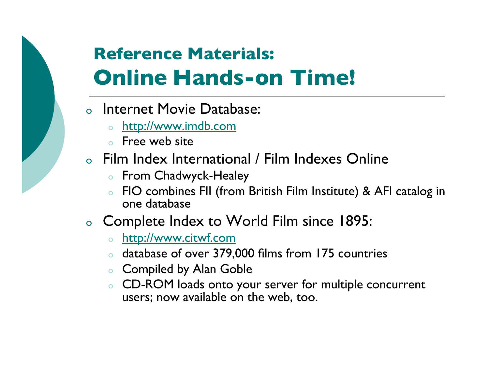## **Reference Materials: Online Hands-on Time!**

#### o Internet Movie Database:

- o http://www.imdb.com
- o Free web site
- o Film Index International / Film Indexes Online
	- o From Chadwyck-Healey
	- FIO combines FII (from British Film Institute) & AFI catalog in one database

#### o Complete Index to World Film since 1895:

- o http://www.citwf.com
- o database of over 379,000 films from 175 countries
- o Compiled by Alan Goble
- o CD-ROM loads onto your server for multiple concurrent users; now available on the web, too.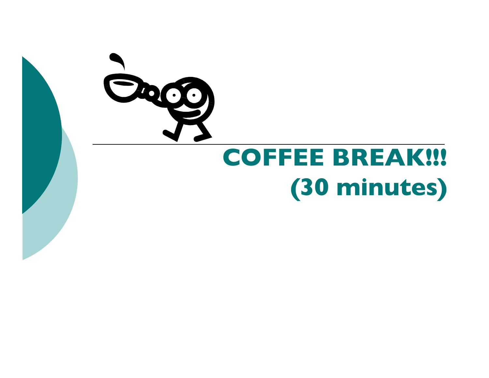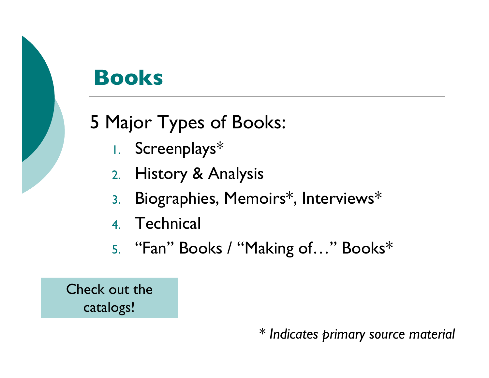

## **Books**

## 5 Major Types of Books:

- 1. Screenplays\*
- 2. History & Analysis
- 3. Biographies, Memoirs\* , Interviews\*
- 4. Technical
- 5. "Fan" Books / "Making of…" Books\*

Check out the catalogs!

*\* Indicates primary source material*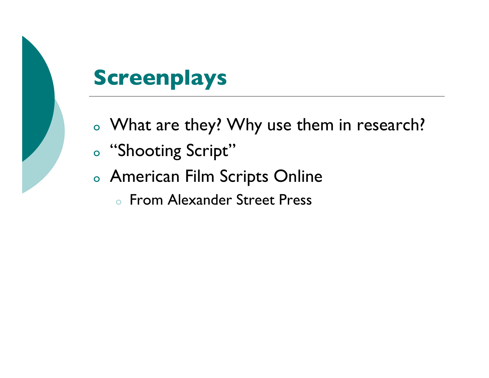

## **Screenplays**

- <sup>o</sup> What are they? Why use them in research?
- o "Shooting Script"
- <sup>o</sup> American Film Scripts Online
	- o From Alexander Street Press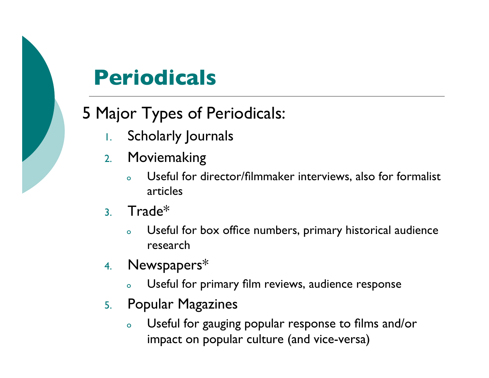

## **Periodicals**

#### 5 Major Types of Periodicals:

- 1. Scholarly Journals
- 2. Moviemaking
	- <sup>o</sup> Useful for director/filmmaker interviews, also for formalist articles
- 3. Trade\*
	- <sup>o</sup> Useful for box office numbers, primary historical audience research
- 4. Newspapers\*
	- <sup>o</sup> Useful for primary film reviews, audience response
- 5. Popular Magazines
	- <sup>o</sup> Useful for gauging popular response to films and/or impact on popular culture (and vice-versa)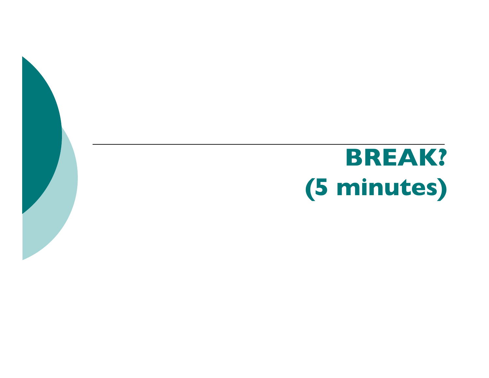# **BREAK? (5 minutes)**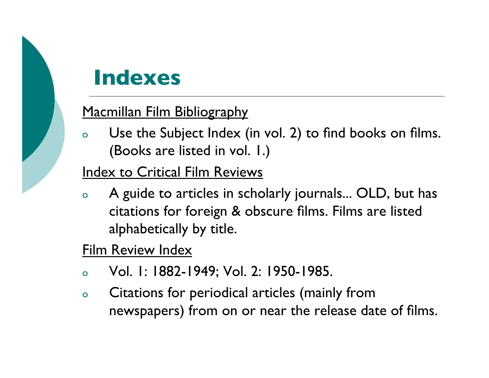### **Indexes**

#### Macmillan Film Bibliography

o Use the Subject Index (in vol. 2) to find books on films. (Books are listed in vol. 1.)

Index to Critical Film Reviews

o A guide to articles in scholarly journals... OLD, but has citations for foreign & obscure films. Films are listed alphabetically by title.

#### Film Review Index

- o Vol. 1: 1882-1949; Vol. 2: 1950-1985.
- o Citations for periodical articles (mainly from newspapers) from on or near the release date of films.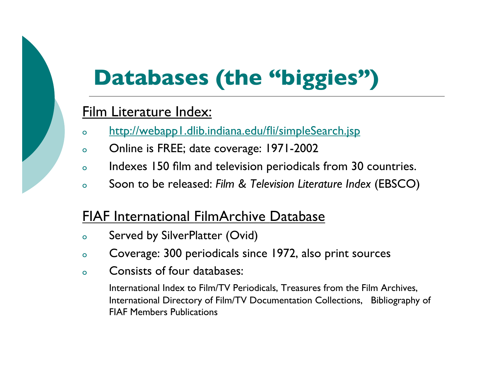# **Databases (the "biggies")**

#### Film Literature Index:

- <sup>o</sup> http://webapp1.dlib.indiana.edu/fli/simpleSearch.jsp
- <sup>o</sup> Online is FREE; date coverage: 1971-2002
- <sup>o</sup> Indexes 150 film and television periodicals from 30 countries.
- <sup>o</sup> Soon to be released: *Film & Television Literature Index* (EBSCO)

#### FIAF International FilmArchive Database

- <sup>o</sup> Served by SilverPlatter (Ovid)
- <sup>o</sup> Coverage: 300 periodicals since 1972, also print sources
- <sup>o</sup> Consists of four databases:

International Index to Film/TV Periodicals, Treasures from the Film Archives, International Directory of Film/TV Documentation Collections, Bibliography of FIAF Members Publications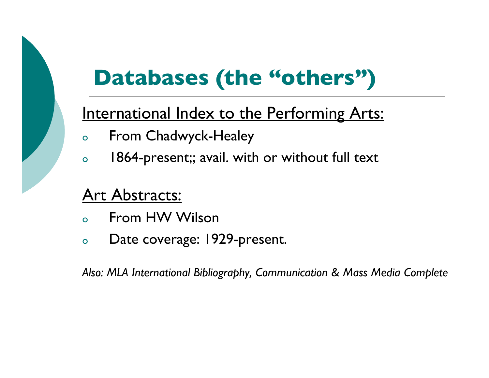# **Databases (the "others")**

#### International Index to the Performing Arts:

- o From Chadwyck-Healey
- o 1864-present;; avail. with or without full text

#### Art Abstracts:

- o From HW Wilson
- o Date coverage: 1929-present.

*Also: MLA International Bibliography, Communication & Mass Media Complete*